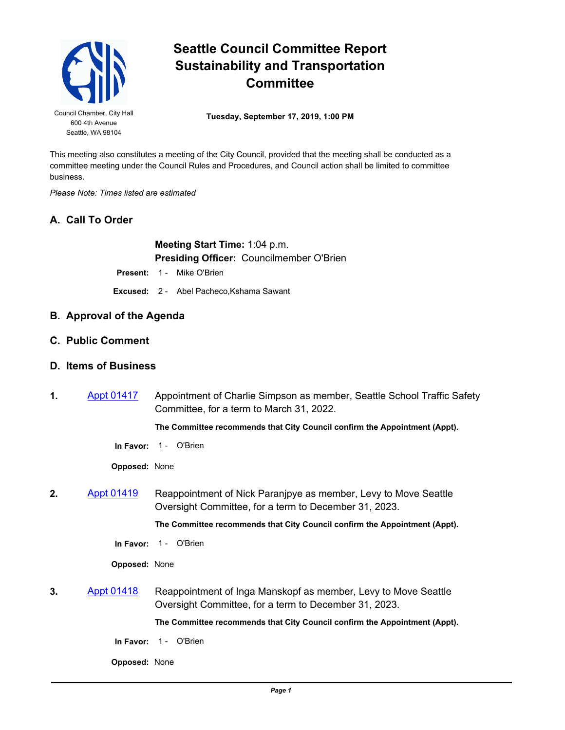

## **Seattle Council Committee Report Sustainability and Transportation Committee**

Council Chamber, City Hall **Tuesday, September 17, 2019, 1:00 PM** 

This meeting also constitutes a meeting of the City Council, provided that the meeting shall be conducted as a committee meeting under the Council Rules and Procedures, and Council action shall be limited to committee business.

*Please Note: Times listed are estimated*

## **A. Call To Order**

**Meeting Start Time:** 1:04 p.m. **Presiding Officer:** Councilmember O'Brien

**Present: 1 - Mike O'Brien** 

**Excused:** 2 - Abel Pacheco,Kshama Sawant

- **B. Approval of the Agenda**
- **C. Public Comment**

## **D. Items of Business**

**1.** [Appt 01417](http://seattle.legistar.com/gateway.aspx?m=l&id=/matter.aspx?key=9033) Appointment of Charlie Simpson as member, Seattle School Traffic Safety Committee, for a term to March 31, 2022.

**The Committee recommends that City Council confirm the Appointment (Appt).**

**In Favor:** 1 - O'Brien

**Opposed:** None

**2.** [Appt 01419](http://seattle.legistar.com/gateway.aspx?m=l&id=/matter.aspx?key=9137) Reappointment of Nick Paranjpye as member, Levy to Move Seattle Oversight Committee, for a term to December 31, 2023.

**The Committee recommends that City Council confirm the Appointment (Appt).**

**In Favor:** 1 - O'Brien

**Opposed:** None

**3.** [Appt 01418](http://seattle.legistar.com/gateway.aspx?m=l&id=/matter.aspx?key=9136) Reappointment of Inga Manskopf as member, Levy to Move Seattle Oversight Committee, for a term to December 31, 2023.

**The Committee recommends that City Council confirm the Appointment (Appt).**

**In Favor: 1 - O'Brien** 

**Opposed:** None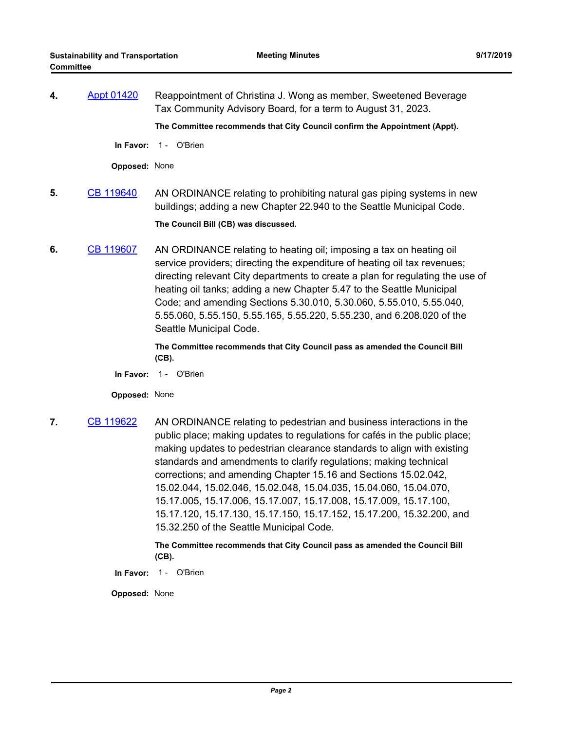**4.** [Appt 01420](http://seattle.legistar.com/gateway.aspx?m=l&id=/matter.aspx?key=9133) Reappointment of Christina J. Wong as member, Sweetened Beverage Tax Community Advisory Board, for a term to August 31, 2023.

**The Committee recommends that City Council confirm the Appointment (Appt).**

**In Favor:** 1 - O'Brien

**Opposed:** None

- **5.** [CB 119640](http://seattle.legistar.com/gateway.aspx?m=l&id=/matter.aspx?key=9066) AN ORDINANCE relating to prohibiting natural gas piping systems in new buildings; adding a new Chapter 22.940 to the Seattle Municipal Code. **The Council Bill (CB) was discussed.**
- **6.** [CB 119607](http://seattle.legistar.com/gateway.aspx?m=l&id=/matter.aspx?key=8863) AN ORDINANCE relating to heating oil; imposing a tax on heating oil service providers; directing the expenditure of heating oil tax revenues; directing relevant City departments to create a plan for regulating the use of heating oil tanks; adding a new Chapter 5.47 to the Seattle Municipal Code; and amending Sections 5.30.010, 5.30.060, 5.55.010, 5.55.040, 5.55.060, 5.55.150, 5.55.165, 5.55.220, 5.55.230, and 6.208.020 of the Seattle Municipal Code.

**The Committee recommends that City Council pass as amended the Council Bill (CB).**

**In Favor:** 1 - O'Brien

**Opposed:** None

**7.** [CB 119622](http://seattle.legistar.com/gateway.aspx?m=l&id=/matter.aspx?key=9037) AN ORDINANCE relating to pedestrian and business interactions in the public place; making updates to regulations for cafés in the public place; making updates to pedestrian clearance standards to align with existing standards and amendments to clarify regulations; making technical corrections; and amending Chapter 15.16 and Sections 15.02.042, 15.02.044, 15.02.046, 15.02.048, 15.04.035, 15.04.060, 15.04.070, 15.17.005, 15.17.006, 15.17.007, 15.17.008, 15.17.009, 15.17.100, 15.17.120, 15.17.130, 15.17.150, 15.17.152, 15.17.200, 15.32.200, and 15.32.250 of the Seattle Municipal Code.

> **The Committee recommends that City Council pass as amended the Council Bill (CB).**

**In Favor:** 1 - O'Brien

**Opposed:** None